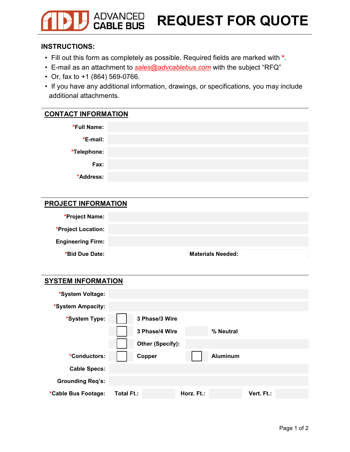## **ADVANCED**<br>**CABLE BUS REQUEST FOR QUOTE**

#### **INSTRUCTIONS:**

- Fill out this form as completely as possible. Required fields are marked with **\***.
- E-mail as an attachment to *sales@advcablebus.com* with the subject "RFQ"
- Or, fax to +1 (864) 569-0766.
- If you have any additional information, drawings, or specifications, you may include additional attachments.

### **CONTACT INFORMATION**

| *Full Name: |  |
|-------------|--|
| *E-mail:    |  |
| *Telephone: |  |
| Fax:        |  |
| *Address:   |  |
|             |  |

#### **PROJECT INFORMATION**

| *Project Name:           |                          |
|--------------------------|--------------------------|
| *Project Location:       |                          |
| <b>Engineering Firm:</b> |                          |
| *Bid Due Date:           | <b>Materials Needed:</b> |

| <b>SYSTEM INFORMATION</b> |                   |                 |            |  |  |  |
|---------------------------|-------------------|-----------------|------------|--|--|--|
| *System Voltage:          |                   |                 |            |  |  |  |
| *System Ampacity:         |                   |                 |            |  |  |  |
| *System Type:             | 3 Phase/3 Wire    |                 |            |  |  |  |
|                           | 3 Phase/4 Wire    | % Neutral       |            |  |  |  |
|                           | Other (Specify):  |                 |            |  |  |  |
| *Conductors:              | Copper            | <b>Aluminum</b> |            |  |  |  |
| <b>Cable Specs:</b>       |                   |                 |            |  |  |  |
| <b>Grounding Req's:</b>   |                   |                 |            |  |  |  |
| *Cable Bus Footage:       | <b>Total Ft.:</b> | Horz. Ft.:      | Vert. Ft.: |  |  |  |